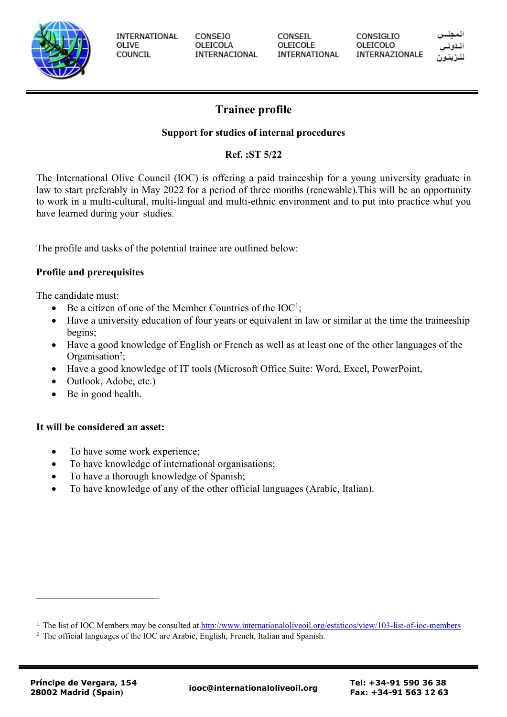

**INTERNATIONAL** OLIVE COUNCIL

**CONSEJO** OLEICOLA INTERNACIONAL CONSEIL OLEICOLE INTERNATIONAL **CONSIGLIO** OLEICOLO INTERNAZIONALE

# **Trainee profile**

## **Support for studies of internal procedures**

## **Ref. :ST 5/22**

The International Olive Council (IOC) is offering a paid traineeship for a young university graduate in law to start preferably in May 2022 for a period of three months (renewable).This will be an opportunity to work in a multi-cultural, multi-lingual and multi-ethnic environment and to put into practice what you have learned during your studies.

The profile and tasks of the potential trainee are outlined below:

### **Profile and prerequisites**

The candidate must:

- Be a citizen of one of the Member Countries of the  $IOC^1$ ;
- Have a university education of four years or equivalent in law or similar at the time the traineeship begins;
- Have a good knowledge of English or French as well as at least one of the other languages of the Organisation<sup>2</sup>;
- Have a good knowledge of IT tools (Microsoft Office Suite: Word, Excel, PowerPoint,
- Outlook, Adobe, etc.)
- Be in good health.

### **It will be considered an asset:**

- To have some work experience;
- To have knowledge of international organisations;
- To have a thorough knowledge of Spanish;
- To have knowledge of any of the other official languages (Arabic, Italian).

<sup>&</sup>lt;sup>1</sup> The list of IOC Members may be consulted at<http://www.internationaloliveoil.org/estaticos/view/103-list-of-ioc-members>

<sup>&</sup>lt;sup>2</sup> The official languages of the IOC are Arabic, English, French, Italian and Spanish.